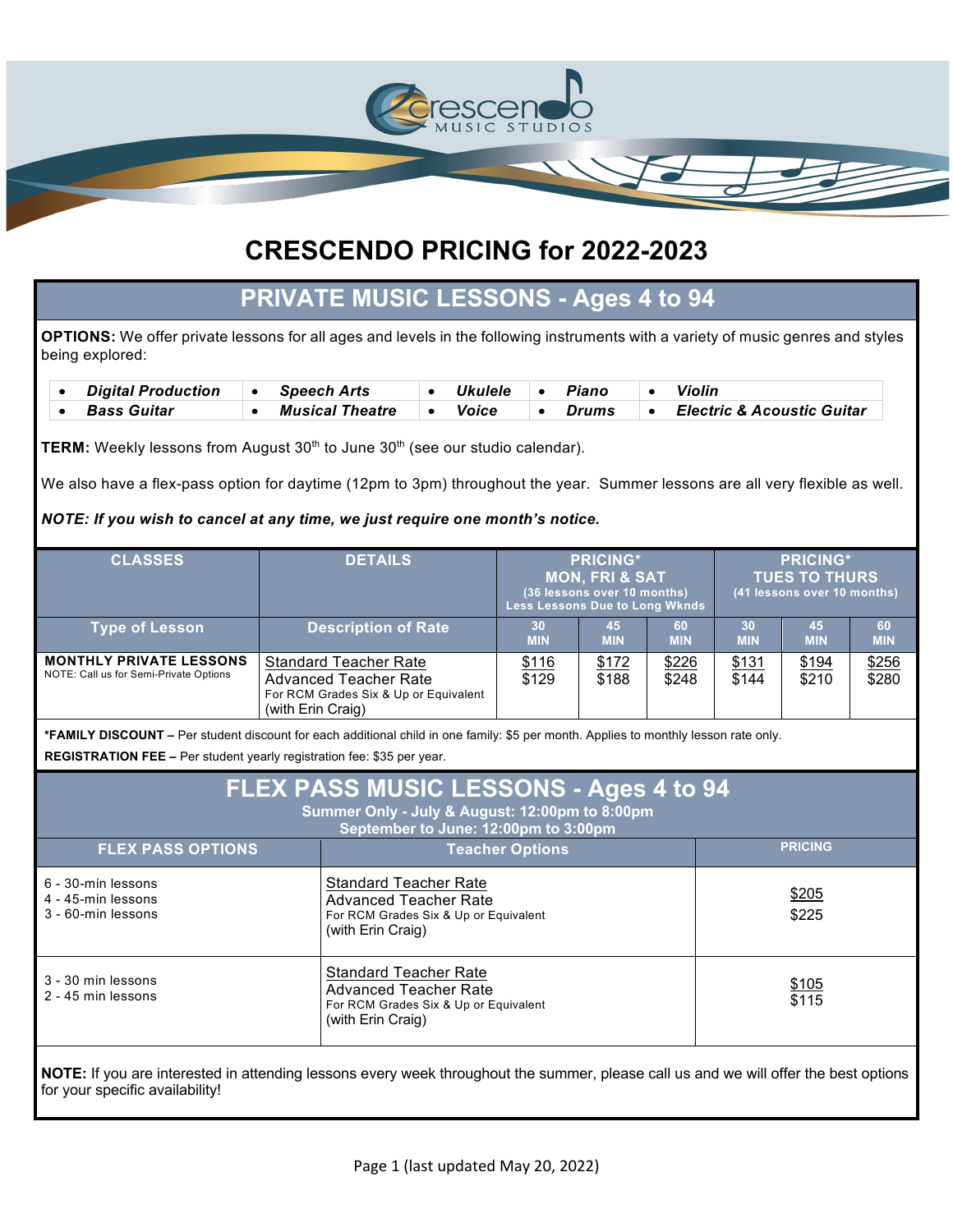

# **PRIVATE MUSIC LESSONS - Ages 4 to 94**

**OPTIONS:** We offer private lessons for all ages and levels in the following instruments with a variety of music genres and styles being explored:

| <b>Digital Production</b> | ∣ • Speech Arts | <i><b>Ukulele</b></i> | Piano | Violin                                |
|---------------------------|-----------------|-----------------------|-------|---------------------------------------|
| <b>Bass Guitar</b>        | Musical Theatre | Voice                 | Drums | <b>Electric &amp; Acoustic Guitar</b> |

TERM: Weekly lessons from August 30<sup>th</sup> to June 30<sup>th</sup> (see our studio calendar).

We also have a flex-pass option for daytime (12pm to 3pm) throughout the year. Summer lessons are all very flexible as well.

#### *NOTE: If you wish to cancel at any time, we just require one month's notice.*

| <b>CLASSES</b>                                                           | <b>DETAILS</b>                                                                                                             | <b>PRICING*</b><br><b>MON, FRI &amp; SAT</b><br>(36 lessons over 10 months)<br><b>Less Lessons Due to Long Wknds</b> |                  | <b>PRICING*</b><br><b>TUES TO THURS</b><br>(41 lessons over 10 months) |                  |                  |                  |
|--------------------------------------------------------------------------|----------------------------------------------------------------------------------------------------------------------------|----------------------------------------------------------------------------------------------------------------------|------------------|------------------------------------------------------------------------|------------------|------------------|------------------|
| <b>Type of Lesson</b>                                                    | <b>Description of Rate</b>                                                                                                 | 30<br><b>MIN</b>                                                                                                     | 45<br><b>MIN</b> | 60<br><b>MIN</b>                                                       | 30<br><b>MIN</b> | 45<br><b>MIN</b> | 60<br><b>MIN</b> |
| <b>MONTHLY PRIVATE LESSONS</b><br>NOTE: Call us for Semi-Private Options | <b>Standard Teacher Rate</b><br><b>Advanced Teacher Rate</b><br>For RCM Grades Six & Up or Equivalent<br>(with Erin Craig) | \$116<br>\$129                                                                                                       | \$172<br>\$188   | \$226<br>\$248                                                         | \$131<br>\$144   | \$194<br>\$210   | \$256<br>\$280   |

**\*FAMILY DISCOUNT –** Per student discount for each additional child in one family: \$5 per month. Applies to monthly lesson rate only.

**REGISTRATION FEE –** Per student yearly registration fee: \$35 per year.

| <b>FLEX PASS MUSIC LESSONS - Ages 4 to 94</b><br>Summer Only - July & August: 12:00pm to 8:00pm<br>September to June: 12:00pm to 3:00pm |                                                                                                                     |                |  |  |  |  |  |
|-----------------------------------------------------------------------------------------------------------------------------------------|---------------------------------------------------------------------------------------------------------------------|----------------|--|--|--|--|--|
| <b>FLEX PASS OPTIONS</b>                                                                                                                | <b>Teacher Options</b>                                                                                              | <b>PRICING</b> |  |  |  |  |  |
| 6 - 30-min lessons<br>4 - 45-min lessons<br>3 - 60-min lessons                                                                          | <b>Standard Teacher Rate</b><br>Advanced Teacher Rate<br>For RCM Grades Six & Up or Equivalent<br>(with Erin Craig) | \$205<br>\$225 |  |  |  |  |  |
| 3 - 30 min lessons<br>2 - 45 min lessons                                                                                                | <b>Standard Teacher Rate</b><br>Advanced Teacher Rate<br>For RCM Grades Six & Up or Equivalent<br>(with Erin Craig) | \$105<br>\$115 |  |  |  |  |  |

**NOTE:** If you are interested in attending lessons every week throughout the summer, please call us and we will offer the best options for your specific availability!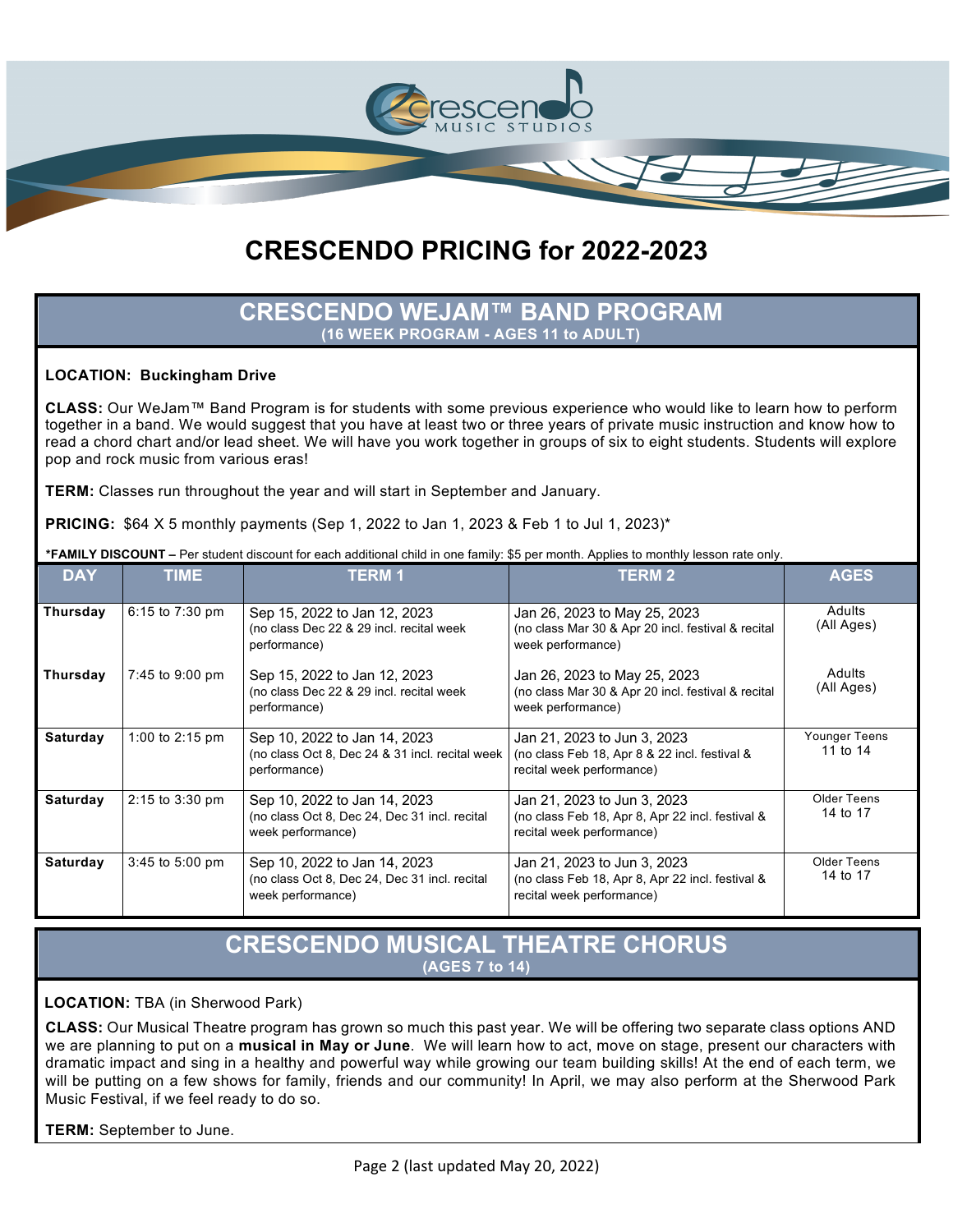

### **CRESCENDO WEJAM™ BAND PROGRAM (16 WEEK PROGRAM - AGES 11 to ADULT)**

### **LOCATION: Buckingham Drive**

**CLASS:** Our WeJam™ Band Program is for students with some previous experience who would like to learn how to perform together in a band. We would suggest that you have at least two or three years of private music instruction and know how to read a chord chart and/or lead sheet. We will have you work together in groups of six to eight students. Students will explore pop and rock music from various eras!

**TERM:** Classes run throughout the year and will start in September and January.

**PRICING:** \$64 X 5 monthly payments (Sep 1, 2022 to Jan 1, 2023 & Feb 1 to Jul 1, 2023)\*

| <b>DAY</b> | <b>TIME</b>         | <b>TERM1</b>                                                                                       | <b>TERM 2</b>                                                                                                | <b>AGES</b>                 |
|------------|---------------------|----------------------------------------------------------------------------------------------------|--------------------------------------------------------------------------------------------------------------|-----------------------------|
| Thursday   | 6:15 to 7:30 pm     | Sep 15, 2022 to Jan 12, 2023<br>(no class Dec 22 & 29 incl. recital week<br>performance)           | Jan 26, 2023 to May 25, 2023<br>(no class Mar 30 & Apr 20 incl. festival & recital<br>week performance)      | Adults<br>(All Ages)        |
| Thursday   | 7:45 to 9:00 pm     | Sep 15, 2022 to Jan 12, 2023<br>(no class Dec 22 & 29 incl. recital week<br>performance)           | Jan 26, 2023 to May 25, 2023<br>(no class Mar 30 & Apr 20 incl. festival & recital<br>week performance)      | <b>Adults</b><br>(All Ages) |
| Saturday   | 1:00 to 2:15 pm     | Sep 10, 2022 to Jan 14, 2023<br>(no class Oct 8, Dec 24 & 31 incl. recital week<br>performance)    | Jan 21, 2023 to Jun 3, 2023<br>(no class Feb 18, Apr 8 & 22 incl. festival &<br>recital week performance)    | Younger Teens<br>11 to 14   |
| Saturday   | $2:15$ to $3:30$ pm | Sep 10, 2022 to Jan 14, 2023<br>(no class Oct 8, Dec 24, Dec 31 incl. recital<br>week performance) | Jan 21, 2023 to Jun 3, 2023<br>(no class Feb 18, Apr 8, Apr 22 incl. festival &<br>recital week performance) | Older Teens<br>14 to 17     |
| Saturday   | $3:45$ to 5:00 pm   | Sep 10, 2022 to Jan 14, 2023<br>(no class Oct 8, Dec 24, Dec 31 incl. recital<br>week performance) | Jan 21, 2023 to Jun 3, 2023<br>(no class Feb 18, Apr 8, Apr 22 incl. festival &<br>recital week performance) | Older Teens<br>14 to 17     |

**\*FAMILY DISCOUNT –** Per student discount for each additional child in one family: \$5 per month. Applies to monthly lesson rate only.

## **CRESCENDO MUSICAL THEATRE CHORUS (AGES 7 to 14)**

#### **LOCATION:** TBA (in Sherwood Park)

**CLASS:** Our Musical Theatre program has grown so much this past year. We will be offering two separate class options AND we are planning to put on a **musical in May or June**. We will learn how to act, move on stage, present our characters with dramatic impact and sing in a healthy and powerful way while growing our team building skills! At the end of each term, we will be putting on a few shows for family, friends and our community! In April, we may also perform at the Sherwood Park Music Festival, if we feel ready to do so.

**TERM:** September to June.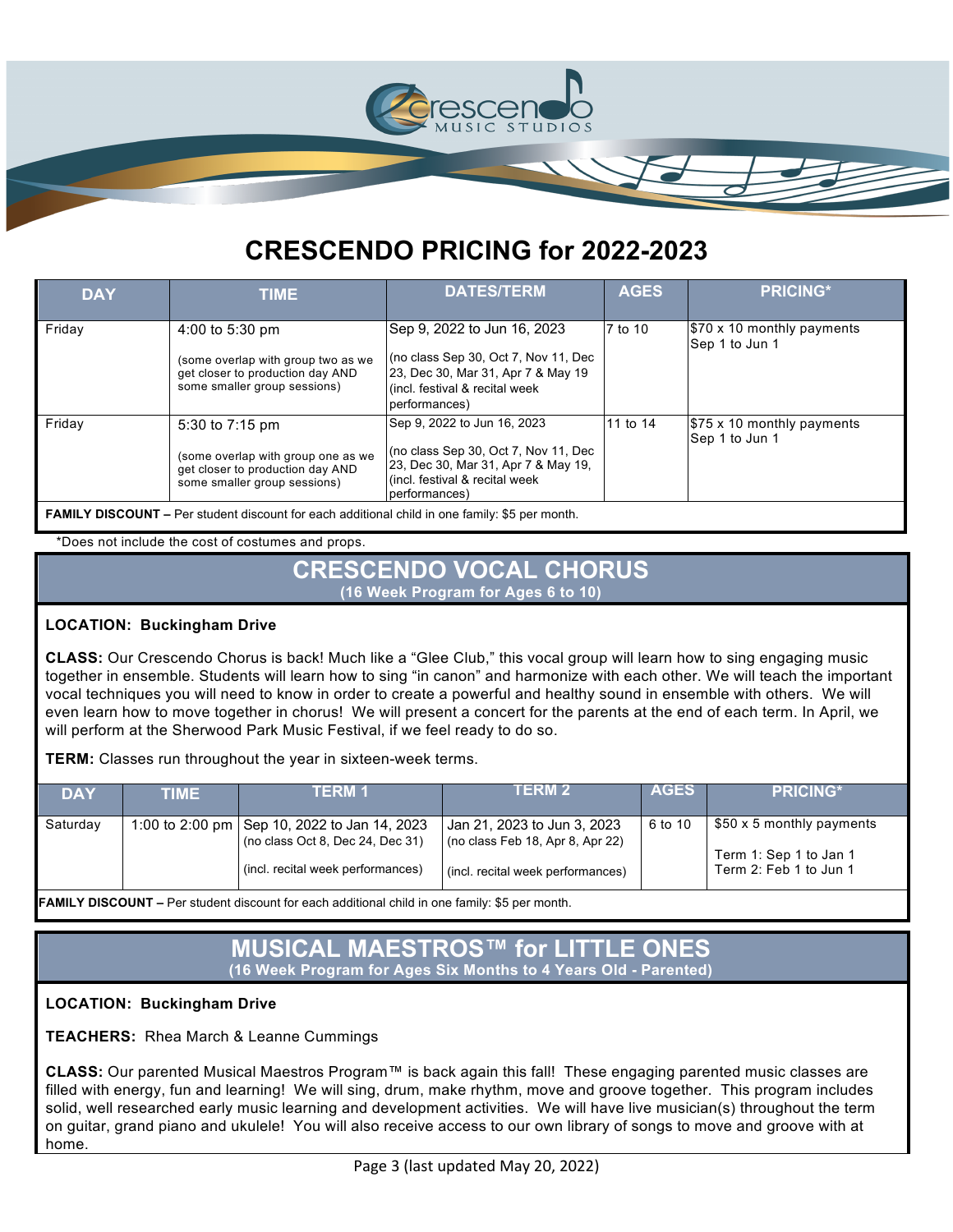

| <b>DAY</b> | <b>TIME</b>                                                                                                               | <b>DATES/TERM</b>                                                                                                                                               | <b>AGES</b> | <b>PRICING*</b>                                    |
|------------|---------------------------------------------------------------------------------------------------------------------------|-----------------------------------------------------------------------------------------------------------------------------------------------------------------|-------------|----------------------------------------------------|
| Friday     | 4:00 to 5:30 pm<br>(some overlap with group two as we<br>get closer to production day AND<br>some smaller group sessions) | Sep 9, 2022 to Jun 16, 2023<br>(no class Sep 30, Oct 7, Nov 11, Dec<br>23, Dec 30, Mar 31, Apr 7 & May 19<br>l (incl. festival & recital week<br>performances)  | 7 to 10     | $$70 \times 10$ monthly payments<br>Sep 1 to Jun 1 |
| Friday     | 5:30 to 7:15 pm<br>(some overlap with group one as we<br>get closer to production day AND<br>some smaller group sessions) | Sep 9, 2022 to Jun 16, 2023<br>(no class Sep 30, Oct 7, Nov 11, Dec<br>23, Dec 30, Mar 31, Apr 7 & May 19,<br>l(incl. festival & recital week<br>(performances) | 11 to 14    | \$75 x 10 monthly payments<br>Sep 1 to Jun 1       |
|            | <b>FAMILY DISCOUNT</b> – Per student discount for each additional child in one family: \$5 per month.                     |                                                                                                                                                                 |             |                                                    |

\*Does not include the cost of costumes and props.

### **CRESCENDO VOCAL CHORUS (16 Week Program for Ages 6 to 10)**

### **LOCATION: Buckingham Drive**

**CLASS:** Our Crescendo Chorus is back! Much like a "Glee Club," this vocal group will learn how to sing engaging music together in ensemble. Students will learn how to sing "in canon" and harmonize with each other. We will teach the important vocal techniques you will need to know in order to create a powerful and healthy sound in ensemble with others. We will even learn how to move together in chorus! We will present a concert for the parents at the end of each term. In April, we will perform at the Sherwood Park Music Festival, if we feel ready to do so.

**TERM:** Classes run throughout the year in sixteen-week terms.

| <b>DAY</b>                                                                                            | TIME | TERM 1                                                                                                                  | I ERM 2                                                                                              | <b>AGES</b> | <b>PRICING*</b>                                                               |  |  |
|-------------------------------------------------------------------------------------------------------|------|-------------------------------------------------------------------------------------------------------------------------|------------------------------------------------------------------------------------------------------|-------------|-------------------------------------------------------------------------------|--|--|
| Saturday                                                                                              |      | 1:00 to 2:00 pm   Sep 10, 2022 to Jan 14, 2023<br>(no class Oct 8, Dec 24, Dec 31)<br>(incl. recital week performances) | Jan 21, 2023 to Jun 3, 2023<br>(no class Feb 18, Apr 8, Apr 22)<br>(incl. recital week performances) | 6 to 10     | \$50 x 5 monthly payments<br>Term 1: Sep 1 to Jan 1<br>Term 2: Feb 1 to Jun 1 |  |  |
| <b>FAMILY DISCOUNT</b> – Per student discount for each additional child in one family: \$5 per month. |      |                                                                                                                         |                                                                                                      |             |                                                                               |  |  |

# **MUSICAL MAESTROS™ for LITTLE ONES (16 Week Program for Ages Six Months to 4 Years Old - Parented)**

**LOCATION: Buckingham Drive** 

**TEACHERS:** Rhea March & Leanne Cummings

**CLASS:** Our parented Musical Maestros Program™ is back again this fall! These engaging parented music classes are filled with energy, fun and learning! We will sing, drum, make rhythm, move and groove together. This program includes solid, well researched early music learning and development activities. We will have live musician(s) throughout the term on guitar, grand piano and ukulele! You will also receive access to our own library of songs to move and groove with at home.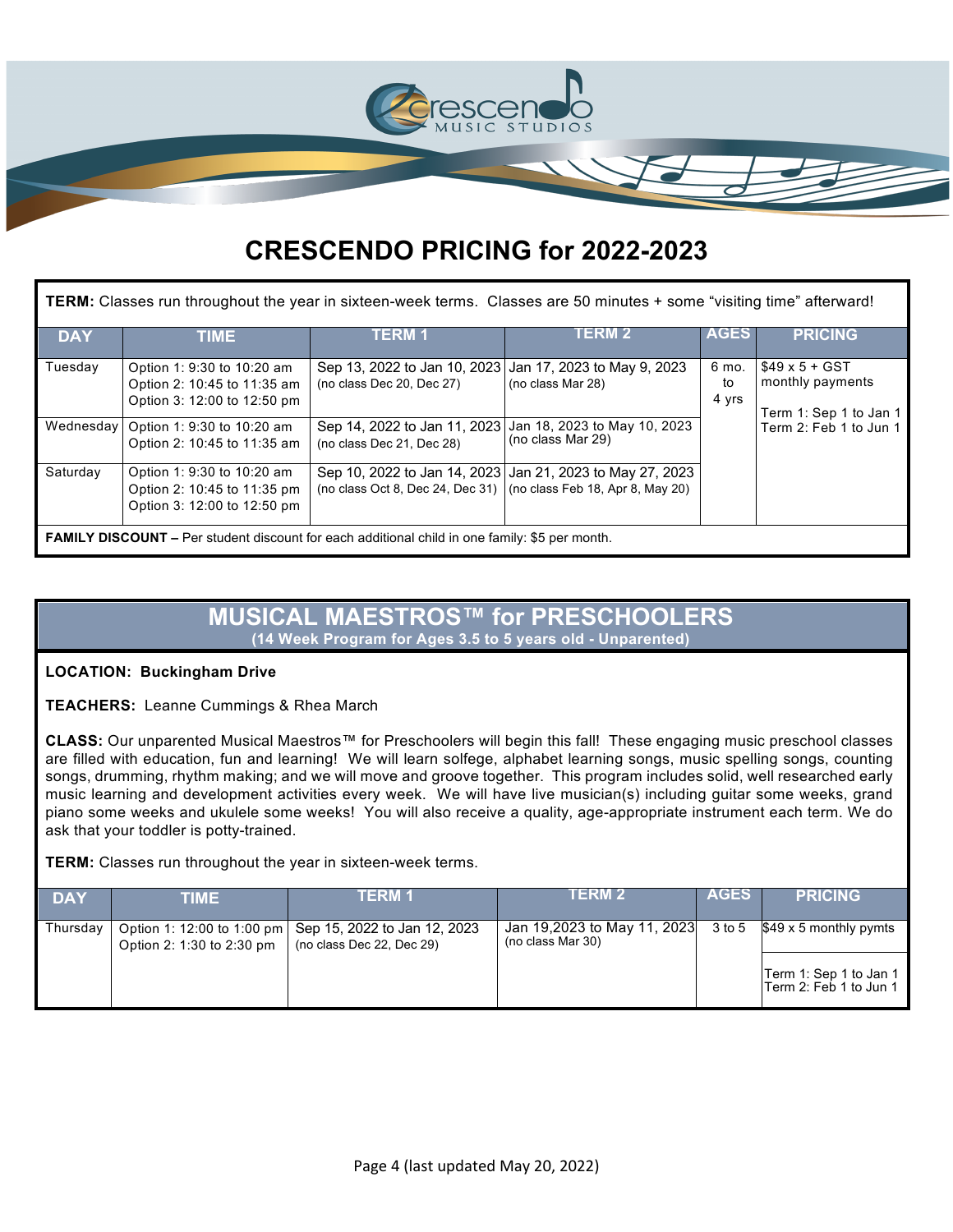

| TERM: Classes run throughout the year in sixteen-week terms. Classes are 50 minutes + some "visiting time" afterward! |                                                                                                       |                                                                                       |                                                           |                      |                                                                    |  |  |  |  |
|-----------------------------------------------------------------------------------------------------------------------|-------------------------------------------------------------------------------------------------------|---------------------------------------------------------------------------------------|-----------------------------------------------------------|----------------------|--------------------------------------------------------------------|--|--|--|--|
| <b>DAY</b>                                                                                                            | <b>TIME</b>                                                                                           | TERM 1                                                                                | I ERM 2                                                   | <b>AGES</b>          | <b>PRICING</b>                                                     |  |  |  |  |
| Tuesday                                                                                                               | Option 1: 9:30 to 10:20 am<br>Option 2: 10:45 to 11:35 am<br>Option 3: 12:00 to 12:50 pm              | Sep 13, 2022 to Jan 10, 2023 Jan 17, 2023 to May 9, 2023<br>(no class Dec 20, Dec 27) | (no class Mar 28)                                         | 6 mo.<br>to<br>4 yrs | $$49 \times 5 + GST$<br>monthly payments<br>Term 1: Sep 1 to Jan 1 |  |  |  |  |
|                                                                                                                       | Wednesday   Option 1: 9:30 to 10:20 am<br>Option 2: 10:45 to 11:35 am                                 | Sep 14, 2022 to Jan 11, 2023<br>(no class Dec 21, Dec 28)                             | Jan 18, 2023 to May 10, 2023<br>(no class Mar 29)         |                      | Term 2: Feb 1 to Jun 1                                             |  |  |  |  |
| Saturday                                                                                                              | Option 1: 9:30 to 10:20 am<br>Option 2: 10:45 to 11:35 pm<br>Option 3: 12:00 to 12:50 pm              | (no class Oct 8, Dec 24, Dec 31) $\vert$ (no class Feb 18, Apr 8, May 20)             | Sep 10, 2022 to Jan 14, 2023 Jan 21, 2023 to May 27, 2023 |                      |                                                                    |  |  |  |  |
|                                                                                                                       | <b>FAMILY DISCOUNT</b> – Per student discount for each additional child in one family: \$5 per month. |                                                                                       |                                                           |                      |                                                                    |  |  |  |  |

### **MUSICAL MAESTROS™ for PRESCHOOLERS (14 Week Program for Ages 3.5 to 5 years old - Unparented)**

### **LOCATION: Buckingham Drive**

**TEACHERS:** Leanne Cummings & Rhea March

**CLASS:** Our unparented Musical Maestros™ for Preschoolers will begin this fall! These engaging music preschool classes are filled with education, fun and learning! We will learn solfege, alphabet learning songs, music spelling songs, counting songs, drumming, rhythm making; and we will move and groove together. This program includes solid, well researched early music learning and development activities every week. We will have live musician(s) including guitar some weeks, grand piano some weeks and ukulele some weeks! You will also receive a quality, age-appropriate instrument each term. We do ask that your toddler is potty-trained.

**TERM:** Classes run throughout the year in sixteen-week terms.

| <b>DAY</b> | TIME                      | TERM 1                                                                                 | IERM Z                                           | AGES   | <b>PRICING</b>                                    |
|------------|---------------------------|----------------------------------------------------------------------------------------|--------------------------------------------------|--------|---------------------------------------------------|
| Thursday   | Option 2: 1:30 to 2:30 pm | Option 1: 12:00 to 1:00 pm   Sep 15, 2022 to Jan 12, 2023<br>(no class Dec 22, Dec 29) | Jan 19,2023 to May 11, 2023<br>(no class Mar 30) | 3 to 5 | $$49 \times 5$ monthly pymts                      |
|            |                           |                                                                                        |                                                  |        | Term 1: Sep 1 to Jan 1<br>lTerm 2: Feb 1 to Jun 1 |